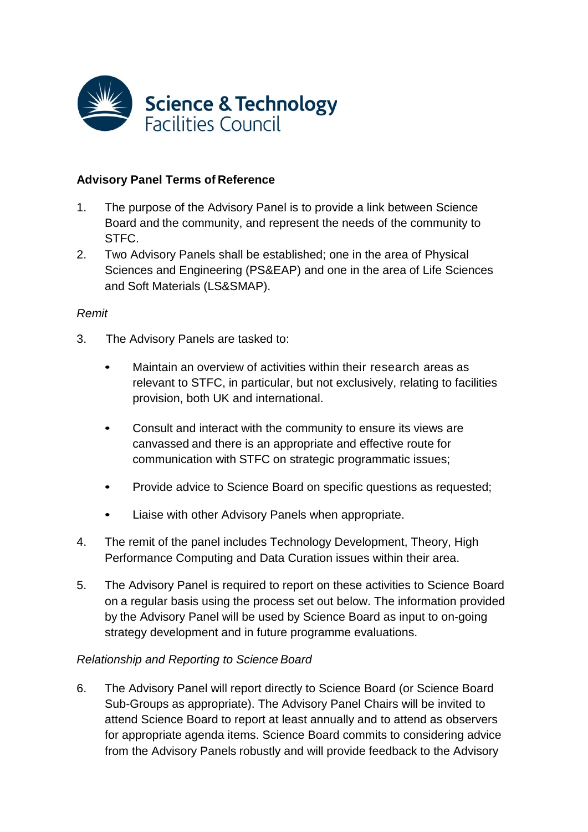

## **Advisory Panel Terms of Reference**

- 1. The purpose of the Advisory Panel is to provide a link between Science Board and the community, and represent the needs of the community to STFC.
- 2. Two Advisory Panels shall be established; one in the area of Physical Sciences and Engineering (PS&EAP) and one in the area of Life Sciences and Soft Materials (LS&SMAP).

### *Remit*

- 3. The Advisory Panels are tasked to:
	- Maintain an overview of activities within their research areas as relevant to STFC, in particular, but not exclusively, relating to facilities provision, both UK and international.
	- Consult and interact with the community to ensure its views are canvassed and there is an appropriate and effective route for communication with STFC on strategic programmatic issues;
	- Provide advice to Science Board on specific questions as requested;
	- Liaise with other Advisory Panels when appropriate.
- 4. The remit of the panel includes Technology Development, Theory, High Performance Computing and Data Curation issues within their area.
- 5. The Advisory Panel is required to report on these activities to Science Board on a regular basis using the process set out below. The information provided by the Advisory Panel will be used by Science Board as input to on-going strategy development and in future programme evaluations.

### *Relationship and Reporting to Science Board*

6. The Advisory Panel will report directly to Science Board (or Science Board Sub-Groups as appropriate). The Advisory Panel Chairs will be invited to attend Science Board to report at least annually and to attend as observers for appropriate agenda items. Science Board commits to considering advice from the Advisory Panels robustly and will provide feedback to the Advisory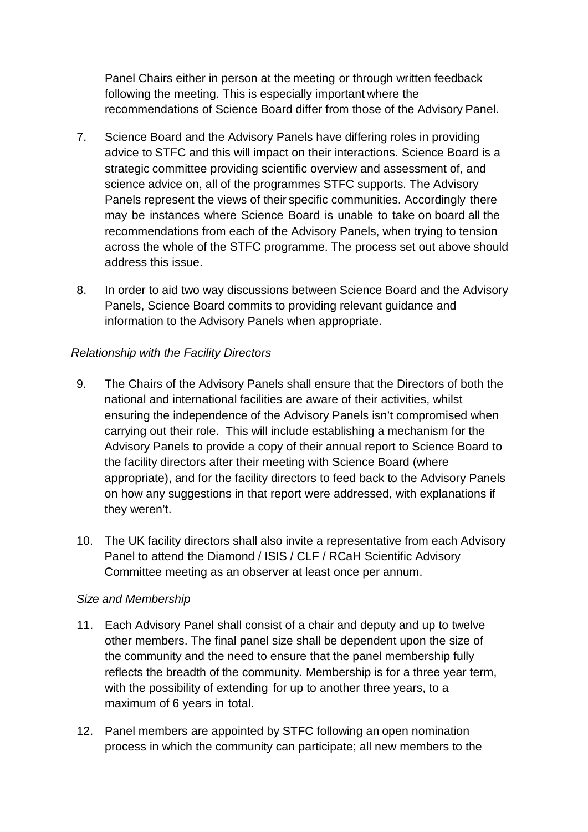Panel Chairs either in person at the meeting or through written feedback following the meeting. This is especially important where the recommendations of Science Board differ from those of the Advisory Panel.

- 7. Science Board and the Advisory Panels have differing roles in providing advice to STFC and this will impact on their interactions. Science Board is a strategic committee providing scientific overview and assessment of, and science advice on, all of the programmes STFC supports. The Advisory Panels represent the views of their specific communities. Accordingly there may be instances where Science Board is unable to take on board all the recommendations from each of the Advisory Panels, when trying to tension across the whole of the STFC programme. The process set out above should address this issue.
- 8. In order to aid two way discussions between Science Board and the Advisory Panels, Science Board commits to providing relevant guidance and information to the Advisory Panels when appropriate.

# *Relationship with the Facility Directors*

- 9. The Chairs of the Advisory Panels shall ensure that the Directors of both the national and international facilities are aware of their activities, whilst ensuring the independence of the Advisory Panels isn't compromised when carrying out their role. This will include establishing a mechanism for the Advisory Panels to provide a copy of their annual report to Science Board to the facility directors after their meeting with Science Board (where appropriate), and for the facility directors to feed back to the Advisory Panels on how any suggestions in that report were addressed, with explanations if they weren't.
- 10. The UK facility directors shall also invite a representative from each Advisory Panel to attend the Diamond / ISIS / CLF / RCaH Scientific Advisory Committee meeting as an observer at least once per annum.

# *Size and Membership*

- 11. Each Advisory Panel shall consist of a chair and deputy and up to twelve other members. The final panel size shall be dependent upon the size of the community and the need to ensure that the panel membership fully reflects the breadth of the community. Membership is for a three year term, with the possibility of extending for up to another three years, to a maximum of 6 years in total.
- 12. Panel members are appointed by STFC following an open nomination process in which the community can participate; all new members to the